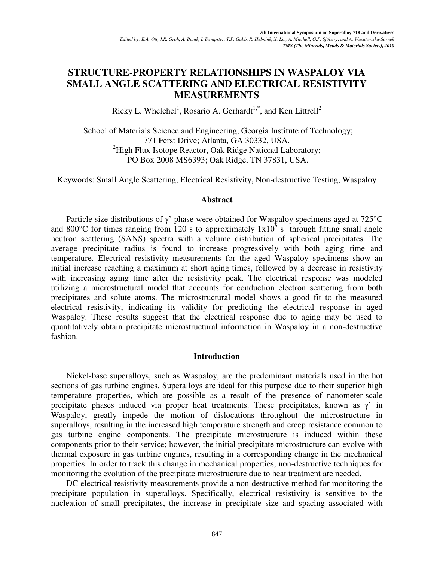# **STRUCTURE-PROPERTY RELATIONSHIPS IN WASPALOY VIA SMALL ANGLE SCATTERING AND ELECTRICAL RESISTIVITY MEASUREMENTS**

Ricky L. Whelchel<sup>1</sup>, Rosario A. Gerhardt<sup>1,\*</sup>, and Ken Littrell<sup>2</sup>

<sup>1</sup>School of Materials Science and Engineering, Georgia Institute of Technology; 771 Ferst Drive; Atlanta, GA 30332, USA. <sup>2</sup>High Flux Isotope Reactor, Oak Ridge National Laboratory; PO Box 2008 MS6393; Oak Ridge, TN 37831, USA.

Keywords: Small Angle Scattering, Electrical Resistivity, Non-destructive Testing, Waspaloy

## **Abstract**

Particle size distributions of  $\gamma$ ' phase were obtained for Waspaloy specimens aged at 725°C and 800°C for times ranging from 120 s to approximately  $1x10^6$  s through fitting small angle neutron scattering (SANS) spectra with a volume distribution of spherical precipitates. The average precipitate radius is found to increase progressively with both aging time and temperature. Electrical resistivity measurements for the aged Waspaloy specimens show an initial increase reaching a maximum at short aging times, followed by a decrease in resistivity with increasing aging time after the resistivity peak. The electrical response was modeled utilizing a microstructural model that accounts for conduction electron scattering from both precipitates and solute atoms. The microstructural model shows a good fit to the measured electrical resistivity, indicating its validity for predicting the electrical response in aged Waspaloy. These results suggest that the electrical response due to aging may be used to quantitatively obtain precipitate microstructural information in Waspaloy in a non-destructive fashion.

# **Introduction**

Nickel-base superalloys, such as Waspaloy, are the predominant materials used in the hot sections of gas turbine engines. Superalloys are ideal for this purpose due to their superior high temperature properties, which are possible as a result of the presence of nanometer-scale precipitate phases induced via proper heat treatments. These precipitates, known as  $\gamma'$  in Waspaloy, greatly impede the motion of dislocations throughout the microstructure in superalloys, resulting in the increased high temperature strength and creep resistance common to gas turbine engine components. The precipitate microstructure is induced within these components prior to their service; however, the initial precipitate microstructure can evolve with thermal exposure in gas turbine engines, resulting in a corresponding change in the mechanical properties. In order to track this change in mechanical properties, non-destructive techniques for monitoring the evolution of the precipitate microstructure due to heat treatment are needed.

DC electrical resistivity measurements provide a non-destructive method for monitoring the precipitate population in superalloys. Specifically, electrical resistivity is sensitive to the nucleation of small precipitates, the increase in precipitate size and spacing associated with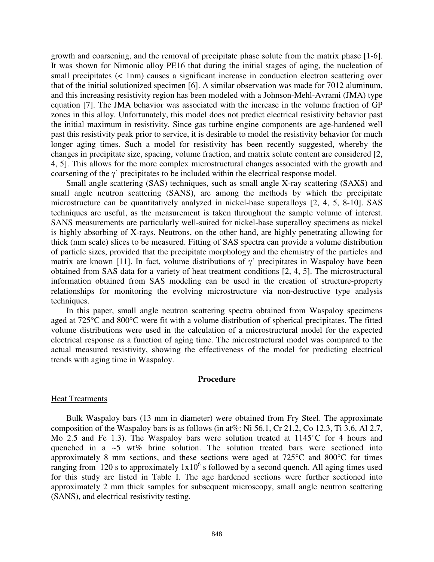growth and coarsening, and the removal of precipitate phase solute from the matrix phase [1-6]. It was shown for Nimonic alloy PE16 that during the initial stages of aging, the nucleation of small precipitates (< 1nm) causes a significant increase in conduction electron scattering over that of the initial solutionized specimen [6]. A similar observation was made for 7012 aluminum, and this increasing resistivity region has been modeled with a Johnson-Mehl-Avrami (JMA) type equation [7]. The JMA behavior was associated with the increase in the volume fraction of GP zones in this alloy. Unfortunately, this model does not predict electrical resistivity behavior past the initial maximum in resistivity. Since gas turbine engine components are age-hardened well past this resistivity peak prior to service, it is desirable to model the resistivity behavior for much longer aging times. Such a model for resistivity has been recently suggested, whereby the changes in precipitate size, spacing, volume fraction, and matrix solute content are considered [2, 4, 5]. This allows for the more complex microstructural changes associated with the growth and coarsening of the γ' precipitates to be included within the electrical response model.

Small angle scattering (SAS) techniques, such as small angle X-ray scattering (SAXS) and small angle neutron scattering (SANS), are among the methods by which the precipitate microstructure can be quantitatively analyzed in nickel-base superalloys [2, 4, 5, 8-10]. SAS techniques are useful, as the measurement is taken throughout the sample volume of interest. SANS measurements are particularly well-suited for nickel-base superalloy specimens as nickel is highly absorbing of X-rays. Neutrons, on the other hand, are highly penetrating allowing for thick (mm scale) slices to be measured. Fitting of SAS spectra can provide a volume distribution of particle sizes, provided that the precipitate morphology and the chemistry of the particles and matrix are known [11]. In fact, volume distributions of  $\gamma$ ' precipitates in Waspaloy have been obtained from SAS data for a variety of heat treatment conditions [2, 4, 5]. The microstructural information obtained from SAS modeling can be used in the creation of structure-property relationships for monitoring the evolving microstructure via non-destructive type analysis techniques.

In this paper, small angle neutron scattering spectra obtained from Waspaloy specimens aged at 725°C and 800°C were fit with a volume distribution of spherical precipitates. The fitted volume distributions were used in the calculation of a microstructural model for the expected electrical response as a function of aging time. The microstructural model was compared to the actual measured resistivity, showing the effectiveness of the model for predicting electrical trends with aging time in Waspaloy.

#### **Procedure**

#### Heat Treatments

 Bulk Waspaloy bars (13 mm in diameter) were obtained from Fry Steel. The approximate composition of the Waspaloy bars is as follows (in at %: Ni 56.1, Cr 21.2, Co 12.3, Ti 3.6, Al 2.7, Mo 2.5 and Fe 1.3). The Waspaloy bars were solution treated at 1145°C for 4 hours and quenched in a  $\sim$  5 wt% brine solution. The solution treated bars were sectioned into approximately 8 mm sections, and these sections were aged at 725°C and 800°C for times ranging from 120 s to approximately  $1x10^6$  s followed by a second quench. All aging times used for this study are listed in Table I. The age hardened sections were further sectioned into approximately 2 mm thick samples for subsequent microscopy, small angle neutron scattering (SANS), and electrical resistivity testing.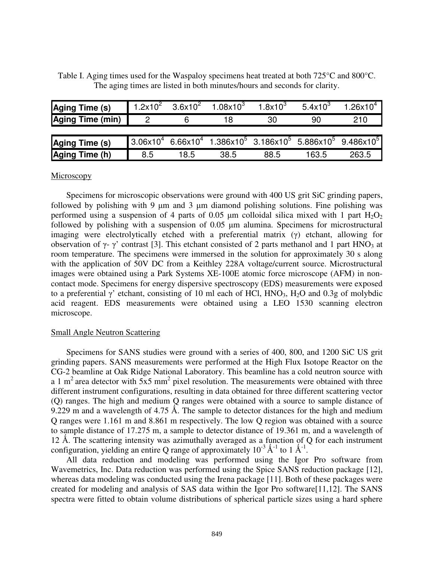| Aging Time (s)   | $1.2 \times 10^{2}$ | $3.6x10^{2}$  | $1.08\times10^{3}$ | $1.8x10^{3}$                                                                     | $5.4x10^{3}$ | $1.26\times10^{4}$ |
|------------------|---------------------|---------------|--------------------|----------------------------------------------------------------------------------|--------------|--------------------|
| Aging Time (min) |                     | 6             | 18                 | 30                                                                               | 90           | 210                |
|                  |                     |               |                    |                                                                                  |              |                    |
| Aging Time (s)   | $3.06\times10^{4}$  | $6.66x10^{4}$ |                    | $1.386x10^{5}$ 3.186x10 <sup>5</sup> 5.886x10 <sup>5</sup> 9.486x10 <sup>5</sup> |              |                    |
| Aging Time (h)   | 8.5                 | 18.5          | 38.5               | 88.5                                                                             | 163.5        | 263.5              |

Table I. Aging times used for the Waspaloy specimens heat treated at both 725°C and 800°C. The aging times are listed in both minutes/hours and seconds for clarity.

#### **Microscopy**

Specimens for microscopic observations were ground with 400 US grit SiC grinding papers, followed by polishing with 9  $\mu$ m and 3  $\mu$ m diamond polishing solutions. Fine polishing was performed using a suspension of 4 parts of 0.05  $\mu$ m colloidal silica mixed with 1 part H<sub>2</sub>O<sub>2</sub> followed by polishing with a suspension of 0.05 µm alumina. Specimens for microstructural imaging were electrolytically etched with a preferential matrix  $(y)$  etchant, allowing for observation of γ- γ' contrast [3]. This etchant consisted of 2 parts methanol and 1 part HNO<sub>3</sub> at room temperature. The specimens were immersed in the solution for approximately 30 s along with the application of 50V DC from a Keithley 228A voltage/current source. Microstructural images were obtained using a Park Systems XE-100E atomic force microscope (AFM) in noncontact mode. Specimens for energy dispersive spectroscopy (EDS) measurements were exposed to a preferential  $\gamma$  etchant, consisting of 10 ml each of HCl, HNO<sub>3</sub>, H<sub>2</sub>O and 0.3g of molybdic acid reagent. EDS measurements were obtained using a LEO 1530 scanning electron microscope.

### Small Angle Neutron Scattering

 Specimens for SANS studies were ground with a series of 400, 800, and 1200 SiC US grit grinding papers. SANS measurements were performed at the High Flux Isotope Reactor on the CG-2 beamline at Oak Ridge National Laboratory. This beamline has a cold neutron source with a 1 m<sup>2</sup> area detector with 5x5 mm<sup>2</sup> pixel resolution. The measurements were obtained with three different instrument configurations, resulting in data obtained for three different scattering vector (Q) ranges. The high and medium Q ranges were obtained with a source to sample distance of 9.229 m and a wavelength of 4.75 Å. The sample to detector distances for the high and medium Q ranges were 1.161 m and 8.861 m respectively. The low Q region was obtained with a source to sample distance of 17.275 m, a sample to detector distance of 19.361 m, and a wavelength of 12 Å. The scattering intensity was azimuthally averaged as a function of Q for each instrument configuration, yielding an entire Q range of approximately  $10^{-3}$   $\AA^{-1}$  to 1  $\AA^{-1}$ .

 All data reduction and modeling was performed using the Igor Pro software from Wavemetrics, Inc. Data reduction was performed using the Spice SANS reduction package [12], whereas data modeling was conducted using the Irena package [11]. Both of these packages were created for modeling and analysis of SAS data within the Igor Pro software[11,12]. The SANS spectra were fitted to obtain volume distributions of spherical particle sizes using a hard sphere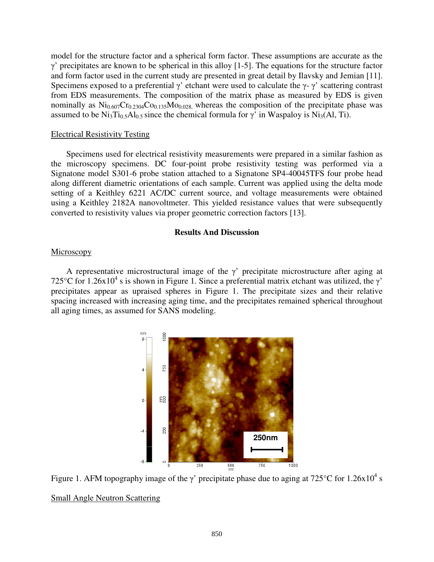model for the structure factor and a spherical form factor. These assumptions are accurate as the  $γ'$  precipitates are known to be spherical in this alloy [1-5]. The equations for the structure factor and form factor used in the current study are presented in great detail by Ilavsky and Jemian [11]. Specimens exposed to a preferential  $\gamma$ ' etchant were used to calculate the  $\gamma$ -  $\gamma$ ' scattering contrast from EDS measurements. The composition of the matrix phase as measured by EDS is given nominally as  $Ni_{0.607}Cr_{0.2304}Co_{0.135}Mo_{0.028}$ , whereas the composition of the precipitate phase was assumed to be  $Ni<sub>3</sub>Ti<sub>0.5</sub>Al<sub>0.5</sub>$  since the chemical formula for  $\gamma$ ' in Waspaloy is Ni<sub>3</sub>(Al, Ti).

## Electrical Resistivity Testing

 Specimens used for electrical resistivity measurements were prepared in a similar fashion as the microscopy specimens. DC four-point probe resistivity testing was performed via a Signatone model S301-6 probe station attached to a Signatone SP4-40045TFS four probe head along different diametric orientations of each sample. Current was applied using the delta mode setting of a Keithley 6221 AC/DC current source, and voltage measurements were obtained using a Keithley 2182A nanovoltmeter. This yielded resistance values that were subsequently converted to resistivity values via proper geometric correction factors [13].

## **Results And Discussion**

# Microscopy

A representative microstructural image of the  $\gamma$  precipitate microstructure after aging at 725°C for 1.26x10<sup>4</sup> s is shown in Figure 1. Since a preferential matrix etchant was utilized, the  $\gamma$ ' precipitates appear as upraised spheres in Figure 1. The precipitate sizes and their relative spacing increased with increasing aging time, and the precipitates remained spherical throughout all aging times, as assumed for SANS modeling.



Figure 1. AFM topography image of the  $\gamma$ ' precipitate phase due to aging at 725°C for 1.26x10<sup>4</sup> s Small Angle Neutron Scattering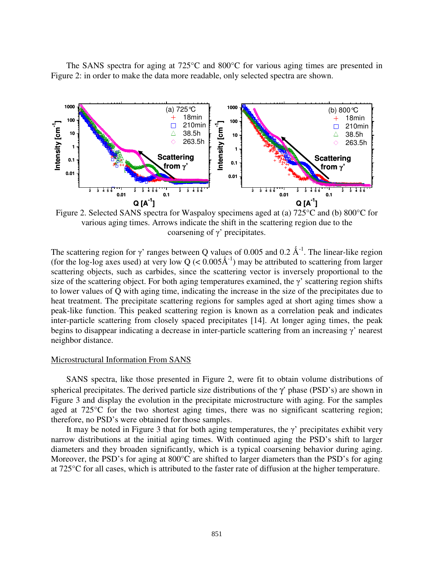The SANS spectra for aging at 725°C and 800°C for various aging times are presented in Figure 2: in order to make the data more readable, only selected spectra are shown.



Figure 2. Selected SANS spectra for Waspaloy specimens aged at (a) 725°C and (b) 800°C for various aging times. Arrows indicate the shift in the scattering region due to the coarsening of  $\gamma$ ' precipitates.

The scattering region for  $\gamma$ ' ranges between Q values of 0.005 and 0.2  $\AA$ <sup>-1</sup>. The linear-like region (for the log-log axes used) at very low  $Q \approx 0.005 \text{\AA}^{-1}$ ) may be attributed to scattering from larger scattering objects, such as carbides, since the scattering vector is inversely proportional to the size of the scattering object. For both aging temperatures examined, the  $\gamma$ ' scattering region shifts to lower values of Q with aging time, indicating the increase in the size of the precipitates due to heat treatment. The precipitate scattering regions for samples aged at short aging times show a peak-like function. This peaked scattering region is known as a correlation peak and indicates inter-particle scattering from closely spaced precipitates [14]. At longer aging times, the peak begins to disappear indicating a decrease in inter-particle scattering from an increasing γ' nearest neighbor distance.

#### Microstructural Information From SANS

 SANS spectra, like those presented in Figure 2, were fit to obtain volume distributions of spherical precipitates. The derived particle size distributions of the γ' phase (PSD's) are shown in Figure 3 and display the evolution in the precipitate microstructure with aging. For the samples aged at 725°C for the two shortest aging times, there was no significant scattering region; therefore, no PSD's were obtained for those samples.

It may be noted in Figure 3 that for both aging temperatures, the  $\gamma$  precipitates exhibit very narrow distributions at the initial aging times. With continued aging the PSD's shift to larger diameters and they broaden significantly, which is a typical coarsening behavior during aging. Moreover, the PSD's for aging at 800°C are shifted to larger diameters than the PSD's for aging at 725°C for all cases, which is attributed to the faster rate of diffusion at the higher temperature.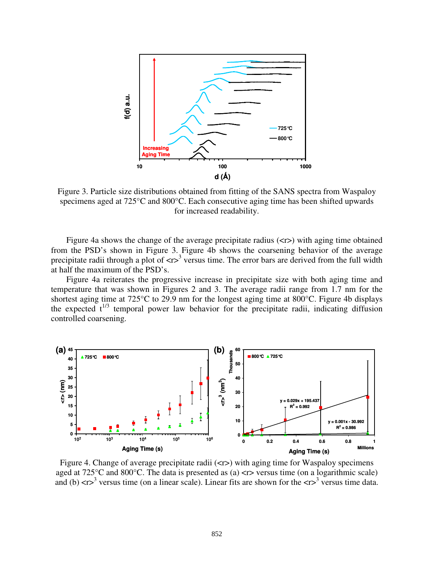

Figure 3. Particle size distributions obtained from fitting of the SANS spectra from Waspaloy specimens aged at 725°C and 800°C. Each consecutive aging time has been shifted upwards for increased readability.

Figure 4a shows the change of the average precipitate radius  $\langle \langle r \rangle$  with aging time obtained from the PSD's shown in Figure 3. Figure 4b shows the coarsening behavior of the average precipitate radii through a plot of  $\langle r \rangle^3$  versus time. The error bars are derived from the full width at half the maximum of the PSD's.

Figure 4a reiterates the progressive increase in precipitate size with both aging time and temperature that was shown in Figures 2 and 3. The average radii range from 1.7 nm for the shortest aging time at 725°C to 29.9 nm for the longest aging time at 800°C. Figure 4b displays the expected  $t^{1/3}$  temporal power law behavior for the precipitate radii, indicating diffusion controlled coarsening.



Figure 4. Change of average precipitate radii  $\langle \langle r \rangle$  with aging time for Waspaloy specimens aged at  $725^{\circ}$ C and  $800^{\circ}$ C. The data is presented as (a)  $\lt$ r> versus time (on a logarithmic scale) and (b)  $\langle r \rangle^3$  versus time (on a linear scale). Linear fits are shown for the  $\langle r \rangle^3$  versus time data.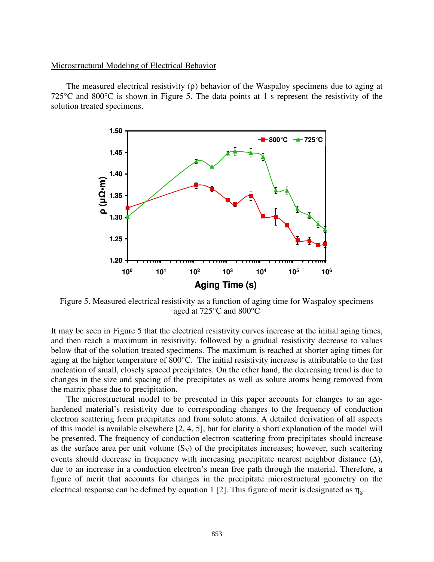### Microstructural Modeling of Electrical Behavior

 The measured electrical resistivity (ρ) behavior of the Waspaloy specimens due to aging at 725°C and 800°C is shown in Figure 5. The data points at 1 s represent the resistivity of the solution treated specimens.



Figure 5. Measured electrical resistivity as a function of aging time for Waspaloy specimens aged at 725°C and 800°C

It may be seen in Figure 5 that the electrical resistivity curves increase at the initial aging times, and then reach a maximum in resistivity, followed by a gradual resistivity decrease to values below that of the solution treated specimens. The maximum is reached at shorter aging times for aging at the higher temperature of 800°C. The initial resistivity increase is attributable to the fast nucleation of small, closely spaced precipitates. On the other hand, the decreasing trend is due to changes in the size and spacing of the precipitates as well as solute atoms being removed from the matrix phase due to precipitation.

 The microstructural model to be presented in this paper accounts for changes to an agehardened material's resistivity due to corresponding changes to the frequency of conduction electron scattering from precipitates and from solute atoms. A detailed derivation of all aspects of this model is available elsewhere [2, 4, 5], but for clarity a short explanation of the model will be presented. The frequency of conduction electron scattering from precipitates should increase as the surface area per unit volume  $(S_V)$  of the precipitates increases; however, such scattering events should decrease in frequency with increasing precipitate nearest neighbor distance (∆), due to an increase in a conduction electron's mean free path through the material. Therefore, a figure of merit that accounts for changes in the precipitate microstructural geometry on the electrical response can be defined by equation 1 [2]. This figure of merit is designated as  $\eta_{\rm g}$ .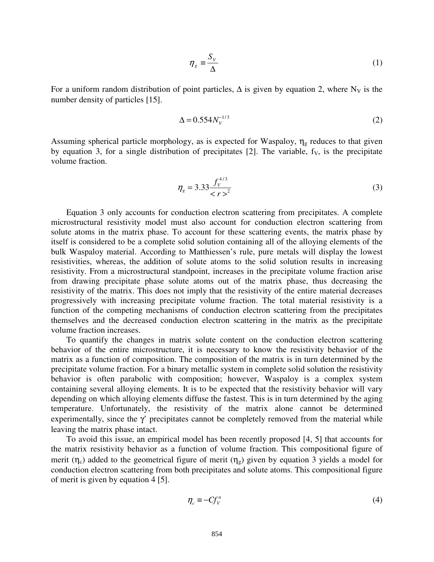$$
\eta_s \equiv \frac{S_V}{\Delta} \tag{1}
$$

For a uniform random distribution of point particles,  $\Delta$  is given by equation 2, where N<sub>V</sub> is the number density of particles [15].

$$
\Delta = 0.554 N_v^{-1/3}
$$
 (2)

Assuming spherical particle morphology, as is expected for Waspaloy,  $\eta_g$  reduces to that given by equation 3, for a single distribution of precipitates  $[2]$ . The variable,  $f_v$ , is the precipitate volume fraction.

$$
\eta_{g} = 3.33 \frac{f_{V}^{4/3}}{< r > 2}
$$
 (3)

Equation 3 only accounts for conduction electron scattering from precipitates. A complete microstructural resistivity model must also account for conduction electron scattering from solute atoms in the matrix phase. To account for these scattering events, the matrix phase by itself is considered to be a complete solid solution containing all of the alloying elements of the bulk Waspaloy material. According to Matthiessen's rule, pure metals will display the lowest resistivities, whereas, the addition of solute atoms to the solid solution results in increasing resistivity. From a microstructural standpoint, increases in the precipitate volume fraction arise from drawing precipitate phase solute atoms out of the matrix phase, thus decreasing the resistivity of the matrix. This does not imply that the resistivity of the entire material decreases progressively with increasing precipitate volume fraction. The total material resistivity is a function of the competing mechanisms of conduction electron scattering from the precipitates themselves and the decreased conduction electron scattering in the matrix as the precipitate volume fraction increases.

To quantify the changes in matrix solute content on the conduction electron scattering behavior of the entire microstructure, it is necessary to know the resistivity behavior of the matrix as a function of composition. The composition of the matrix is in turn determined by the precipitate volume fraction. For a binary metallic system in complete solid solution the resistivity behavior is often parabolic with composition; however, Waspaloy is a complex system containing several alloying elements. It is to be expected that the resistivity behavior will vary depending on which alloying elements diffuse the fastest. This is in turn determined by the aging temperature. Unfortunately, the resistivity of the matrix alone cannot be determined experimentally, since the  $\gamma$  precipitates cannot be completely removed from the material while leaving the matrix phase intact.

To avoid this issue, an empirical model has been recently proposed [4, 5] that accounts for the matrix resistivity behavior as a function of volume fraction. This compositional figure of merit ( $\eta_c$ ) added to the geometrical figure of merit ( $\eta_g$ ) given by equation 3 yields a model for conduction electron scattering from both precipitates and solute atoms. This compositional figure of merit is given by equation 4 [5].

$$
\eta_c \equiv -C f_V^n \tag{4}
$$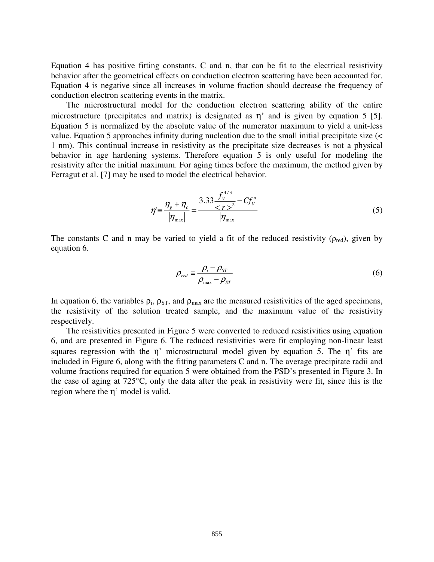Equation 4 has positive fitting constants, C and n, that can be fit to the electrical resistivity behavior after the geometrical effects on conduction electron scattering have been accounted for. Equation 4 is negative since all increases in volume fraction should decrease the frequency of conduction electron scattering events in the matrix.

The microstructural model for the conduction electron scattering ability of the entire microstructure (precipitates and matrix) is designated as  $\eta$ ' and is given by equation 5 [5]. Equation 5 is normalized by the absolute value of the numerator maximum to yield a unit-less value. Equation 5 approaches infinity during nucleation due to the small initial precipitate size (< 1 nm). This continual increase in resistivity as the precipitate size decreases is not a physical behavior in age hardening systems. Therefore equation 5 is only useful for modeling the resistivity after the initial maximum. For aging times before the maximum, the method given by Ferragut et al. [7] may be used to model the electrical behavior.

$$
\eta = \frac{\eta_s + \eta_c}{|\eta_{\text{max}}|} = \frac{3.33 \frac{f_v^{4/3}}{f_v^{2}} - C f_v^{n}}{|\eta_{\text{max}}|}
$$
(5)

The constants C and n may be varied to yield a fit of the reduced resistivity ( $\rho_{\text{red}}$ ), given by equation 6.

$$
\rho_{red} \equiv \frac{\rho_i - \rho_{ST}}{\rho_{\text{max}} - \rho_{ST}} \tag{6}
$$

In equation 6, the variables  $\rho_i$ ,  $\rho_{ST}$ , and  $\rho_{max}$  are the measured resistivities of the aged specimens, the resistivity of the solution treated sample, and the maximum value of the resistivity respectively.

 The resistivities presented in Figure 5 were converted to reduced resistivities using equation 6, and are presented in Figure 6. The reduced resistivities were fit employing non-linear least squares regression with the  $\eta$ ' microstructural model given by equation 5. The  $\eta$ ' fits are included in Figure 6, along with the fitting parameters C and n. The average precipitate radii and volume fractions required for equation 5 were obtained from the PSD's presented in Figure 3. In the case of aging at 725°C, only the data after the peak in resistivity were fit, since this is the region where the η' model is valid.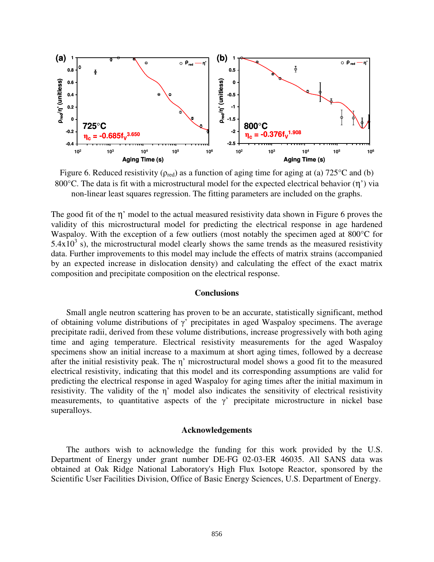

Figure 6. Reduced resistivity ( $\rho_{\text{red}}$ ) as a function of aging time for aging at (a) 725°C and (b) 800°C. The data is fit with a microstructural model for the expected electrical behavior (η') via non-linear least squares regression. The fitting parameters are included on the graphs.

The good fit of the η' model to the actual measured resistivity data shown in Figure 6 proves the validity of this microstructural model for predicting the electrical response in age hardened Waspaloy. With the exception of a few outliers (most notably the specimen aged at 800°C for  $5.4x10<sup>3</sup>$  s), the microstructural model clearly shows the same trends as the measured resistivity data. Further improvements to this model may include the effects of matrix strains (accompanied by an expected increase in dislocation density) and calculating the effect of the exact matrix composition and precipitate composition on the electrical response.

## **Conclusions**

 Small angle neutron scattering has proven to be an accurate, statistically significant, method of obtaining volume distributions of  $\gamma$ ' precipitates in aged Waspaloy specimens. The average precipitate radii, derived from these volume distributions, increase progressively with both aging time and aging temperature. Electrical resistivity measurements for the aged Waspaloy specimens show an initial increase to a maximum at short aging times, followed by a decrease after the initial resistivity peak. The η' microstructural model shows a good fit to the measured electrical resistivity, indicating that this model and its corresponding assumptions are valid for predicting the electrical response in aged Waspaloy for aging times after the initial maximum in resistivity. The validity of the η' model also indicates the sensitivity of electrical resistivity measurements, to quantitative aspects of the  $\gamma$  precipitate microstructure in nickel base superalloys.

#### **Acknowledgements**

The authors wish to acknowledge the funding for this work provided by the U.S. Department of Energy under grant number DE-FG 02-03-ER 46035. All SANS data was obtained at Oak Ridge National Laboratory's High Flux Isotope Reactor, sponsored by the Scientific User Facilities Division, Office of Basic Energy Sciences, U.S. Department of Energy.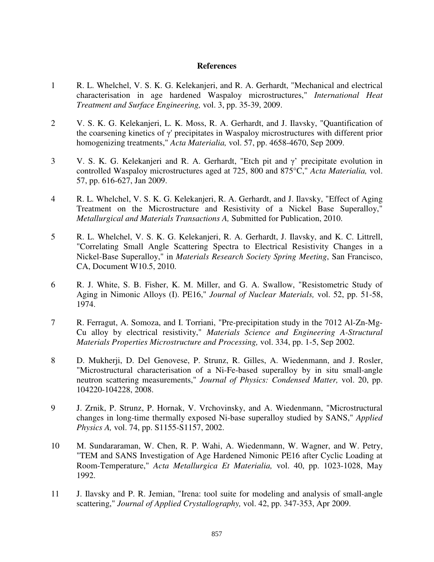## **References**

- 1 R. L. Whelchel, V. S. K. G. Kelekanjeri, and R. A. Gerhardt, "Mechanical and electrical characterisation in age hardened Waspaloy microstructures," *International Heat Treatment and Surface Engineering,* vol. 3, pp. 35-39, 2009.
- 2 V. S. K. G. Kelekanjeri, L. K. Moss, R. A. Gerhardt, and J. Ilavsky, "Quantification of the coarsening kinetics of γ' precipitates in Waspaloy microstructures with different prior homogenizing treatments," *Acta Materialia,* vol. 57, pp. 4658-4670, Sep 2009.
- 3 V. S. K. G. Kelekanjeri and R. A. Gerhardt, "Etch pit and γ' precipitate evolution in controlled Waspaloy microstructures aged at 725, 800 and 875°C," *Acta Materialia,* vol. 57, pp. 616-627, Jan 2009.
- 4 R. L. Whelchel, V. S. K. G. Kelekanjeri, R. A. Gerhardt, and J. Ilavsky, "Effect of Aging Treatment on the Microstructure and Resistivity of a Nickel Base Superalloy," *Metallurgical and Materials Transactions A,* Submitted for Publication, 2010.
- 5 R. L. Whelchel, V. S. K. G. Kelekanjeri, R. A. Gerhardt, J. Ilavsky, and K. C. Littrell, "Correlating Small Angle Scattering Spectra to Electrical Resistivity Changes in a Nickel-Base Superalloy," in *Materials Research Society Spring Meeting*, San Francisco, CA, Document W10.5, 2010.
- 6 R. J. White, S. B. Fisher, K. M. Miller, and G. A. Swallow, "Resistometric Study of Aging in Nimonic Alloys (I). PE16," *Journal of Nuclear Materials,* vol. 52, pp. 51-58, 1974.
- 7 R. Ferragut, A. Somoza, and I. Torriani, "Pre-precipitation study in the 7012 Al-Zn-Mg-Cu alloy by electrical resistivity," *Materials Science and Engineering A-Structural Materials Properties Microstructure and Processing,* vol. 334, pp. 1-5, Sep 2002.
- 8 D. Mukherji, D. Del Genovese, P. Strunz, R. Gilles, A. Wiedenmann, and J. Rosler, "Microstructural characterisation of a Ni-Fe-based superalloy by in situ small-angle neutron scattering measurements," *Journal of Physics: Condensed Matter,* vol. 20, pp. 104220-104228, 2008.
- 9 J. Zrnik, P. Strunz, P. Hornak, V. Vrchovinsky, and A. Wiedenmann, "Microstructural changes in long-time thermally exposed Ni-base superalloy studied by SANS," *Applied Physics A,* vol. 74, pp. S1155-S1157, 2002.
- 10 M. Sundararaman, W. Chen, R. P. Wahi, A. Wiedenmann, W. Wagner, and W. Petry, "TEM and SANS Investigation of Age Hardened Nimonic PE16 after Cyclic Loading at Room-Temperature," *Acta Metallurgica Et Materialia,* vol. 40, pp. 1023-1028, May 1992.
- 11 J. Ilavsky and P. R. Jemian, "Irena: tool suite for modeling and analysis of small-angle scattering," *Journal of Applied Crystallography,* vol. 42, pp. 347-353, Apr 2009.